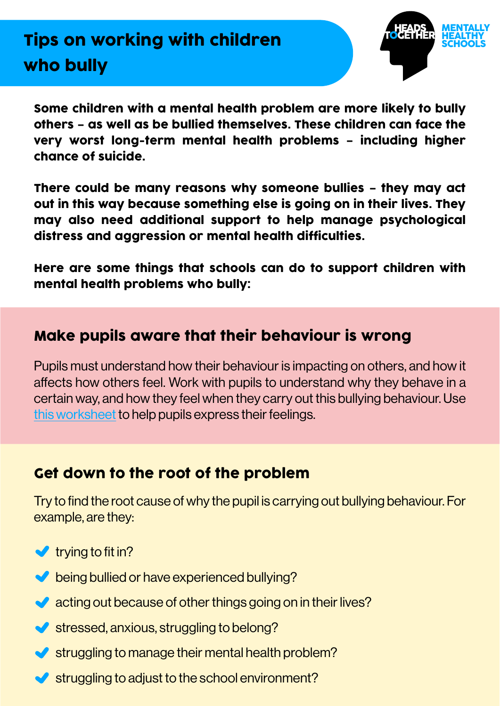

Some children with a mental health problem are more likely to bully others – as well as be bullied themselves. These children can face the very worst long-term mental health problems – including higher chance of suicide.

There could be many reasons why someone bullies – they may act out in this way because something else is going on in their lives. They may also need additional support to help manage psychological distress and aggression or mental health difficulties.

Here are some things that schools can do to support children with mental health problems who bully:

## Make pupils aware that their behaviour is wrong

Pupils must understand how their behaviour is impacting on others, and how it affects how others feel. Work with pupils to understand why they behave in a certain way, and how they feel when they carry out this bullying behaviour. Use [this worksheet](https://youngminds.org.uk/resources/school-resources/a-letter-about-how-im-feeling/) to help pupils express their feelings.

## Get down to the root of the problem

Try to find the root cause of why the pupil is carrying out bullying behaviour. For example, are they:

- $\blacktriangleright$  trying to fit in?
- being bullied or have experienced bullying?
- acting out because of other things going on in their lives?
- $\blacktriangleright$  stressed, anxious, struggling to belong?
- struggling to manage their mental health problem?
- $\blacktriangleright$  struggling to adjust to the school environment?